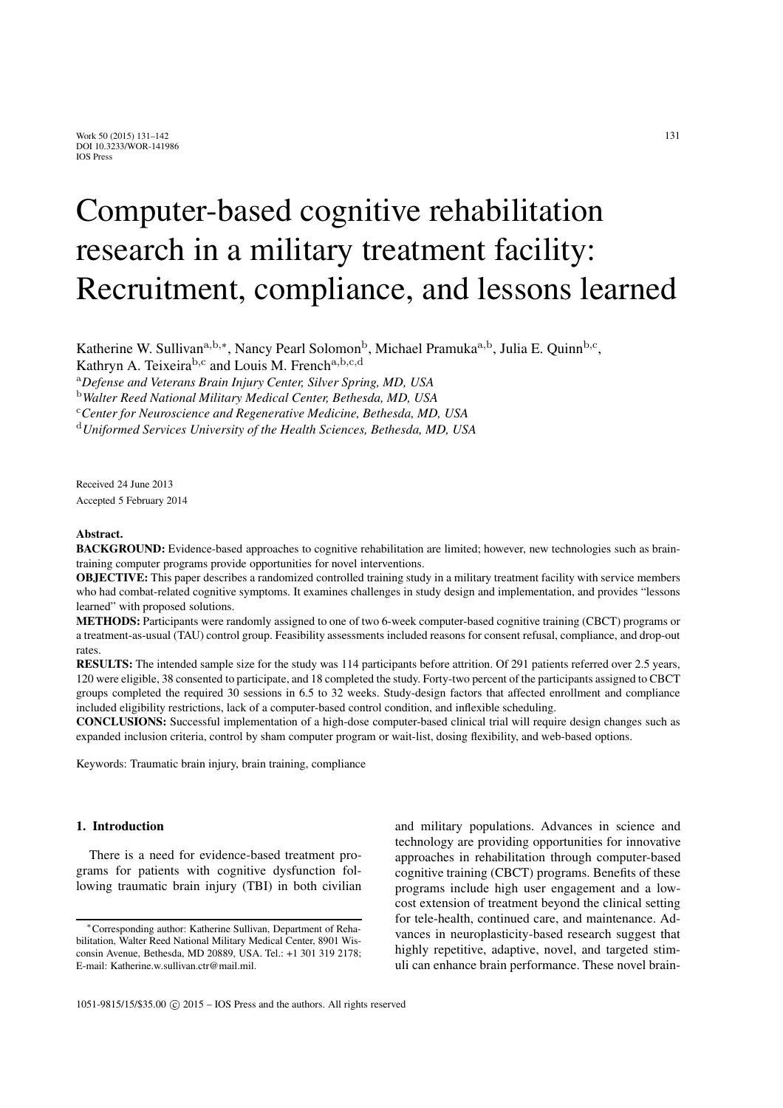# Computer-based cognitive rehabilitation research in a military treatment facility: Recruitment, compliance, and lessons learned

Katherine W. Sullivan<sup>a,b,\*</sup>, Nancy Pearl Solomon<sup>b</sup>, Michael Pramuka<sup>a,b</sup>, Julia E. Ouinn<sup>b,c</sup>,

Kathryn A. Teixeirab*,*<sup>c</sup> and Louis M. Frencha*,*b*,*c*,*<sup>d</sup>

<sup>a</sup>*Defense and Veterans Brain Injury Center, Silver Spring, MD, USA*

<sup>b</sup>*Walter Reed National Military Medical Center, Bethesda, MD, USA*

<sup>c</sup>*Center for Neuroscience and Regenerative Medicine, Bethesda, MD, USA*

<sup>d</sup>*Uniformed Services University of the Health Sciences, Bethesda, MD, USA*

Received 24 June 2013 Accepted 5 February 2014

#### Abstract.

BACKGROUND: Evidence-based approaches to cognitive rehabilitation are limited; however, new technologies such as braintraining computer programs provide opportunities for novel interventions.

OBJECTIVE: This paper describes a randomized controlled training study in a military treatment facility with service members who had combat-related cognitive symptoms. It examines challenges in study design and implementation, and provides "lessons learned" with proposed solutions.

METHODS: Participants were randomly assigned to one of two 6-week computer-based cognitive training (CBCT) programs or a treatment-as-usual (TAU) control group. Feasibility assessments included reasons for consent refusal, compliance, and drop-out rates.

RESULTS: The intended sample size for the study was 114 participants before attrition. Of 291 patients referred over 2.5 years, 120 were eligible, 38 consented to participate, and 18 completed the study. Forty-two percent of the participants assigned to CBCT groups completed the required 30 sessions in 6.5 to 32 weeks. Study-design factors that affected enrollment and compliance included eligibility restrictions, lack of a computer-based control condition, and inflexible scheduling.

CONCLUSIONS: Successful implementation of a high-dose computer-based clinical trial will require design changes such as expanded inclusion criteria, control by sham computer program or wait-list, dosing flexibility, and web-based options.

Keywords: Traumatic brain injury, brain training, compliance

#### 1. Introduction

There is a need for evidence-based treatment programs for patients with cognitive dysfunction following traumatic brain injury (TBI) in both civilian and military populations. Advances in science and technology are providing opportunities for innovative approaches in rehabilitation through computer-based cognitive training (CBCT) programs. Benefits of these programs include high user engagement and a lowcost extension of treatment beyond the clinical setting for tele-health, continued care, and maintenance. Advances in neuroplasticity-based research suggest that highly repetitive, adaptive, novel, and targeted stimuli can enhance brain performance. These novel brain-

<sup>∗</sup>Corresponding author: Katherine Sullivan, Department of Rehabilitation, Walter Reed National Military Medical Center, 8901 Wisconsin Avenue, Bethesda, MD 20889, USA. Tel.: +1 301 319 2178; E-mail: Katherine.w.sullivan.ctr@mail.mil.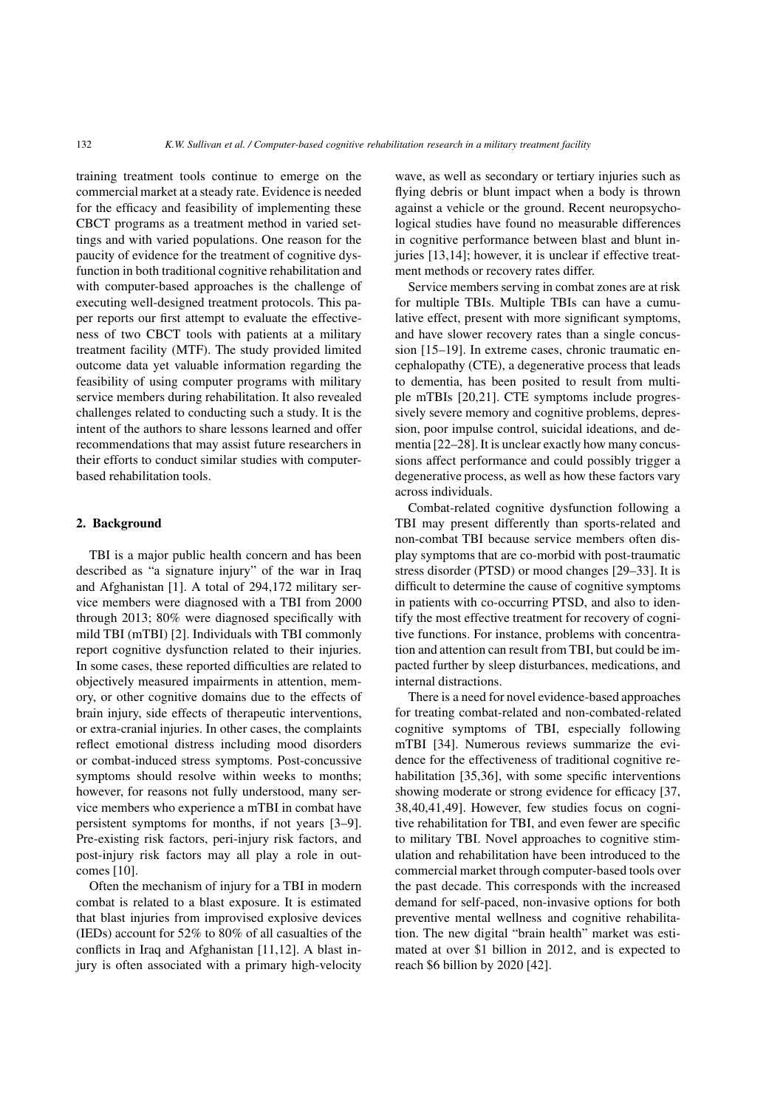training treatment tools continue to emerge on the commercial market at a steady rate. Evidence is needed for the efficacy and feasibility of implementing these CBCT programs as a treatment method in varied settings and with varied populations. One reason for the paucity of evidence for the treatment of cognitive dysfunction in both traditional cognitive rehabilitation and with computer-based approaches is the challenge of executing well-designed treatment protocols. This paper reports our first attempt to evaluate the effectiveness of two CBCT tools with patients at a military treatment facility (MTF). The study provided limited outcome data yet valuable information regarding the feasibility of using computer programs with military service members during rehabilitation. It also revealed challenges related to conducting such a study. It is the intent of the authors to share lessons learned and offer recommendations that may assist future researchers in their efforts to conduct similar studies with computerbased rehabilitation tools.

#### 2. Background

TBI is a major public health concern and has been described as "a signature injury" of the war in Iraq and Afghanistan [1]. A total of 294,172 military service members were diagnosed with a TBI from 2000 through 2013; 80% were diagnosed specifically with mild TBI (mTBI) [2]. Individuals with TBI commonly report cognitive dysfunction related to their injuries. In some cases, these reported difficulties are related to objectively measured impairments in attention, memory, or other cognitive domains due to the effects of brain injury, side effects of therapeutic interventions, or extra-cranial injuries. In other cases, the complaints reflect emotional distress including mood disorders or combat-induced stress symptoms. Post-concussive symptoms should resolve within weeks to months; however, for reasons not fully understood, many service members who experience a mTBI in combat have persistent symptoms for months, if not years [3–9]. Pre-existing risk factors, peri-injury risk factors, and post-injury risk factors may all play a role in outcomes [10].

Often the mechanism of injury for a TBI in modern combat is related to a blast exposure. It is estimated that blast injuries from improvised explosive devices (IEDs) account for 52% to 80% of all casualties of the conflicts in Iraq and Afghanistan [11,12]. A blast injury is often associated with a primary high-velocity wave, as well as secondary or tertiary injuries such as flying debris or blunt impact when a body is thrown against a vehicle or the ground. Recent neuropsychological studies have found no measurable differences in cognitive performance between blast and blunt injuries [13,14]; however, it is unclear if effective treatment methods or recovery rates differ.

Service members serving in combat zones are at risk for multiple TBIs. Multiple TBIs can have a cumulative effect, present with more significant symptoms, and have slower recovery rates than a single concussion [15–19]. In extreme cases, chronic traumatic encephalopathy (CTE), a degenerative process that leads to dementia, has been posited to result from multiple mTBIs [20,21]. CTE symptoms include progressively severe memory and cognitive problems, depression, poor impulse control, suicidal ideations, and dementia [22–28]. It is unclear exactly how many concussions affect performance and could possibly trigger a degenerative process, as well as how these factors vary across individuals.

Combat-related cognitive dysfunction following a TBI may present differently than sports-related and non-combat TBI because service members often display symptoms that are co-morbid with post-traumatic stress disorder (PTSD) or mood changes [29–33]. It is difficult to determine the cause of cognitive symptoms in patients with co-occurring PTSD, and also to identify the most effective treatment for recovery of cognitive functions. For instance, problems with concentration and attention can result from TBI, but could be impacted further by sleep disturbances, medications, and internal distractions.

There is a need for novel evidence-based approaches for treating combat-related and non-combated-related cognitive symptoms of TBI, especially following mTBI [34]. Numerous reviews summarize the evidence for the effectiveness of traditional cognitive rehabilitation [35,36], with some specific interventions showing moderate or strong evidence for efficacy [37, 38,40,41,49]. However, few studies focus on cognitive rehabilitation for TBI, and even fewer are specific to military TBI. Novel approaches to cognitive stimulation and rehabilitation have been introduced to the commercial market through computer-based tools over the past decade. This corresponds with the increased demand for self-paced, non-invasive options for both preventive mental wellness and cognitive rehabilitation. The new digital "brain health" market was estimated at over \$1 billion in 2012, and is expected to reach \$6 billion by 2020 [42].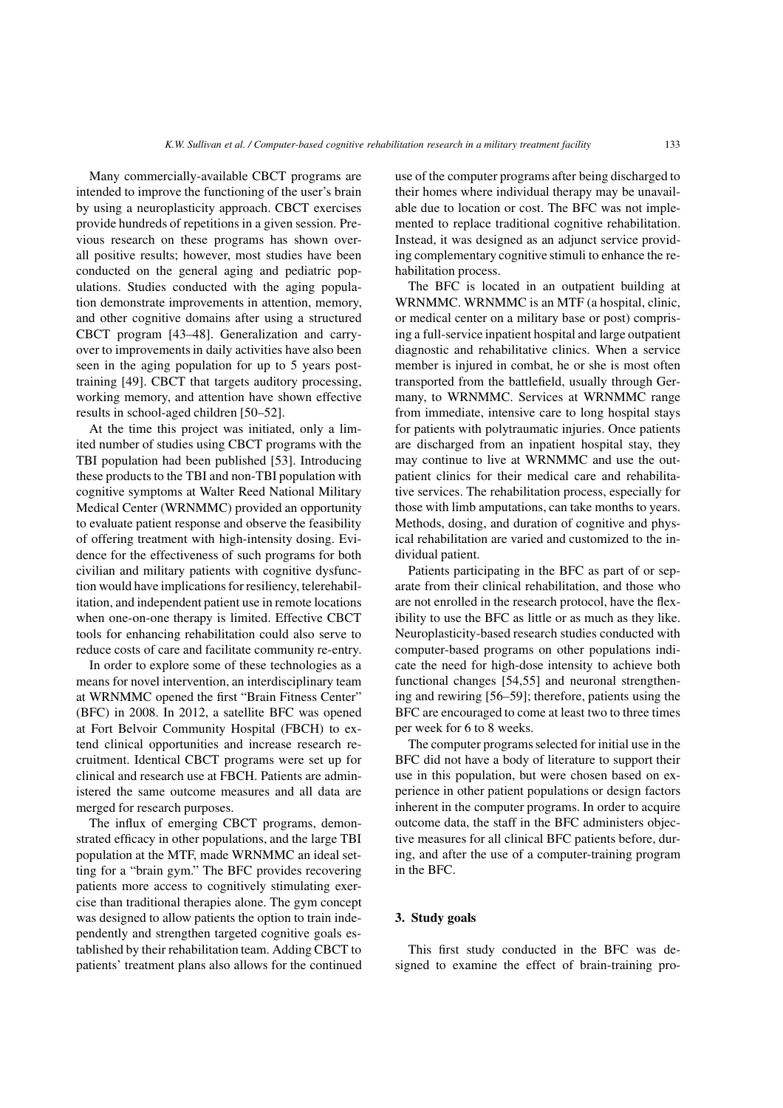Many commercially-available CBCT programs are intended to improve the functioning of the user's brain by using a neuroplasticity approach. CBCT exercises provide hundreds of repetitions in a given session. Previous research on these programs has shown overall positive results; however, most studies have been conducted on the general aging and pediatric populations. Studies conducted with the aging population demonstrate improvements in attention, memory, and other cognitive domains after using a structured CBCT program [43–48]. Generalization and carryover to improvements in daily activities have also been seen in the aging population for up to 5 years posttraining [49]. CBCT that targets auditory processing, working memory, and attention have shown effective results in school-aged children [50–52].

At the time this project was initiated, only a limited number of studies using CBCT programs with the TBI population had been published [53]. Introducing these products to the TBI and non-TBI population with cognitive symptoms at Walter Reed National Military Medical Center (WRNMMC) provided an opportunity to evaluate patient response and observe the feasibility of offering treatment with high-intensity dosing. Evidence for the effectiveness of such programs for both civilian and military patients with cognitive dysfunction would have implications for resiliency, telerehabilitation, and independent patient use in remote locations when one-on-one therapy is limited. Effective CBCT tools for enhancing rehabilitation could also serve to reduce costs of care and facilitate community re-entry.

In order to explore some of these technologies as a means for novel intervention, an interdisciplinary team at WRNMMC opened the first "Brain Fitness Center" (BFC) in 2008. In 2012, a satellite BFC was opened at Fort Belvoir Community Hospital (FBCH) to extend clinical opportunities and increase research recruitment. Identical CBCT programs were set up for clinical and research use at FBCH. Patients are administered the same outcome measures and all data are merged for research purposes.

The influx of emerging CBCT programs, demonstrated efficacy in other populations, and the large TBI population at the MTF, made WRNMMC an ideal setting for a "brain gym." The BFC provides recovering patients more access to cognitively stimulating exercise than traditional therapies alone. The gym concept was designed to allow patients the option to train independently and strengthen targeted cognitive goals established by their rehabilitation team. Adding CBCT to patients' treatment plans also allows for the continued use of the computer programs after being discharged to their homes where individual therapy may be unavailable due to location or cost. The BFC was not implemented to replace traditional cognitive rehabilitation. Instead, it was designed as an adjunct service providing complementary cognitive stimuli to enhance the rehabilitation process.

The BFC is located in an outpatient building at WRNMMC. WRNMMC is an MTF (a hospital, clinic, or medical center on a military base or post) comprising a full-service inpatient hospital and large outpatient diagnostic and rehabilitative clinics. When a service member is injured in combat, he or she is most often transported from the battlefield, usually through Germany, to WRNMMC. Services at WRNMMC range from immediate, intensive care to long hospital stays for patients with polytraumatic injuries. Once patients are discharged from an inpatient hospital stay, they may continue to live at WRNMMC and use the outpatient clinics for their medical care and rehabilitative services. The rehabilitation process, especially for those with limb amputations, can take months to years. Methods, dosing, and duration of cognitive and physical rehabilitation are varied and customized to the individual patient.

Patients participating in the BFC as part of or separate from their clinical rehabilitation, and those who are not enrolled in the research protocol, have the flexibility to use the BFC as little or as much as they like. Neuroplasticity-based research studies conducted with computer-based programs on other populations indicate the need for high-dose intensity to achieve both functional changes [54,55] and neuronal strengthening and rewiring [56–59]; therefore, patients using the BFC are encouraged to come at least two to three times per week for 6 to 8 weeks.

The computer programs selected for initial use in the BFC did not have a body of literature to support their use in this population, but were chosen based on experience in other patient populations or design factors inherent in the computer programs. In order to acquire outcome data, the staff in the BFC administers objective measures for all clinical BFC patients before, during, and after the use of a computer-training program in the BFC.

#### 3. Study goals

This first study conducted in the BFC was designed to examine the effect of brain-training pro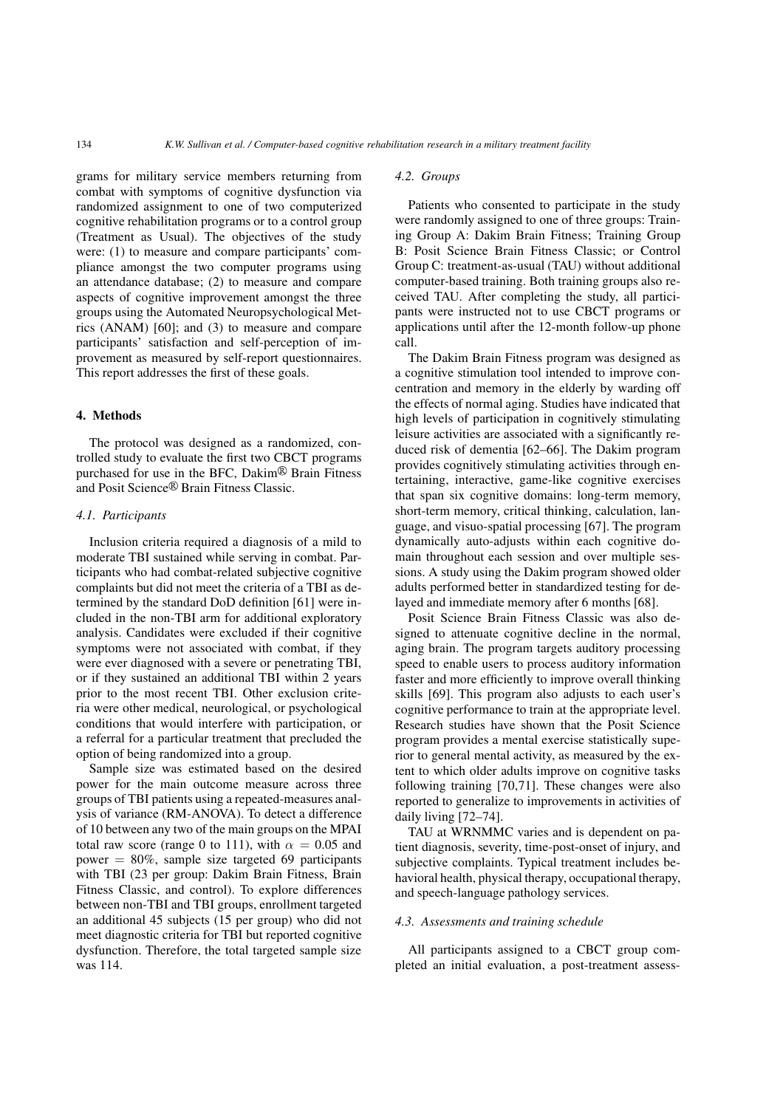grams for military service members returning from combat with symptoms of cognitive dysfunction via randomized assignment to one of two computerized cognitive rehabilitation programs or to a control group (Treatment as Usual). The objectives of the study were: (1) to measure and compare participants' compliance amongst the two computer programs using an attendance database; (2) to measure and compare aspects of cognitive improvement amongst the three groups using the Automated Neuropsychological Metrics (ANAM) [60]; and (3) to measure and compare participants' satisfaction and self-perception of improvement as measured by self-report questionnaires. This report addresses the first of these goals.

#### 4. Methods

The protocol was designed as a randomized, controlled study to evaluate the first two CBCT programs purchased for use in the BFC,  $Dakim^@$  Brain Fitness and Posit Science<sup>®</sup> Brain Fitness Classic.

#### *4.1. Participants*

Inclusion criteria required a diagnosis of a mild to moderate TBI sustained while serving in combat. Participants who had combat-related subjective cognitive complaints but did not meet the criteria of a TBI as determined by the standard DoD definition [61] were included in the non-TBI arm for additional exploratory analysis. Candidates were excluded if their cognitive symptoms were not associated with combat, if they were ever diagnosed with a severe or penetrating TBI, or if they sustained an additional TBI within 2 years prior to the most recent TBI. Other exclusion criteria were other medical, neurological, or psychological conditions that would interfere with participation, or a referral for a particular treatment that precluded the option of being randomized into a group.

Sample size was estimated based on the desired power for the main outcome measure across three groups of TBI patients using a repeated-measures analysis of variance (RM-ANOVA). To detect a difference of 10 between any two of the main groups on the MPAI total raw score (range 0 to 111), with  $\alpha = 0.05$  and power  $= 80\%$ , sample size targeted 69 participants with TBI (23 per group: Dakim Brain Fitness, Brain Fitness Classic, and control). To explore differences between non-TBI and TBI groups, enrollment targeted an additional 45 subjects (15 per group) who did not meet diagnostic criteria for TBI but reported cognitive dysfunction. Therefore, the total targeted sample size was 114.

#### *4.2. Groups*

Patients who consented to participate in the study were randomly assigned to one of three groups: Training Group A: Dakim Brain Fitness; Training Group B: Posit Science Brain Fitness Classic; or Control Group C: treatment-as-usual (TAU) without additional computer-based training. Both training groups also received TAU. After completing the study, all participants were instructed not to use CBCT programs or applications until after the 12-month follow-up phone call.

The Dakim Brain Fitness program was designed as a cognitive stimulation tool intended to improve concentration and memory in the elderly by warding off the effects of normal aging. Studies have indicated that high levels of participation in cognitively stimulating leisure activities are associated with a significantly reduced risk of dementia [62–66]. The Dakim program provides cognitively stimulating activities through entertaining, interactive, game-like cognitive exercises that span six cognitive domains: long-term memory, short-term memory, critical thinking, calculation, language, and visuo-spatial processing [67]. The program dynamically auto-adjusts within each cognitive domain throughout each session and over multiple sessions. A study using the Dakim program showed older adults performed better in standardized testing for delayed and immediate memory after 6 months [68].

Posit Science Brain Fitness Classic was also designed to attenuate cognitive decline in the normal, aging brain. The program targets auditory processing speed to enable users to process auditory information faster and more efficiently to improve overall thinking skills [69]. This program also adjusts to each user's cognitive performance to train at the appropriate level. Research studies have shown that the Posit Science program provides a mental exercise statistically superior to general mental activity, as measured by the extent to which older adults improve on cognitive tasks following training [70,71]. These changes were also reported to generalize to improvements in activities of daily living [72–74].

TAU at WRNMMC varies and is dependent on patient diagnosis, severity, time-post-onset of injury, and subjective complaints. Typical treatment includes behavioral health, physical therapy, occupational therapy, and speech-language pathology services.

#### *4.3. Assessments and training schedule*

All participants assigned to a CBCT group completed an initial evaluation, a post-treatment assess-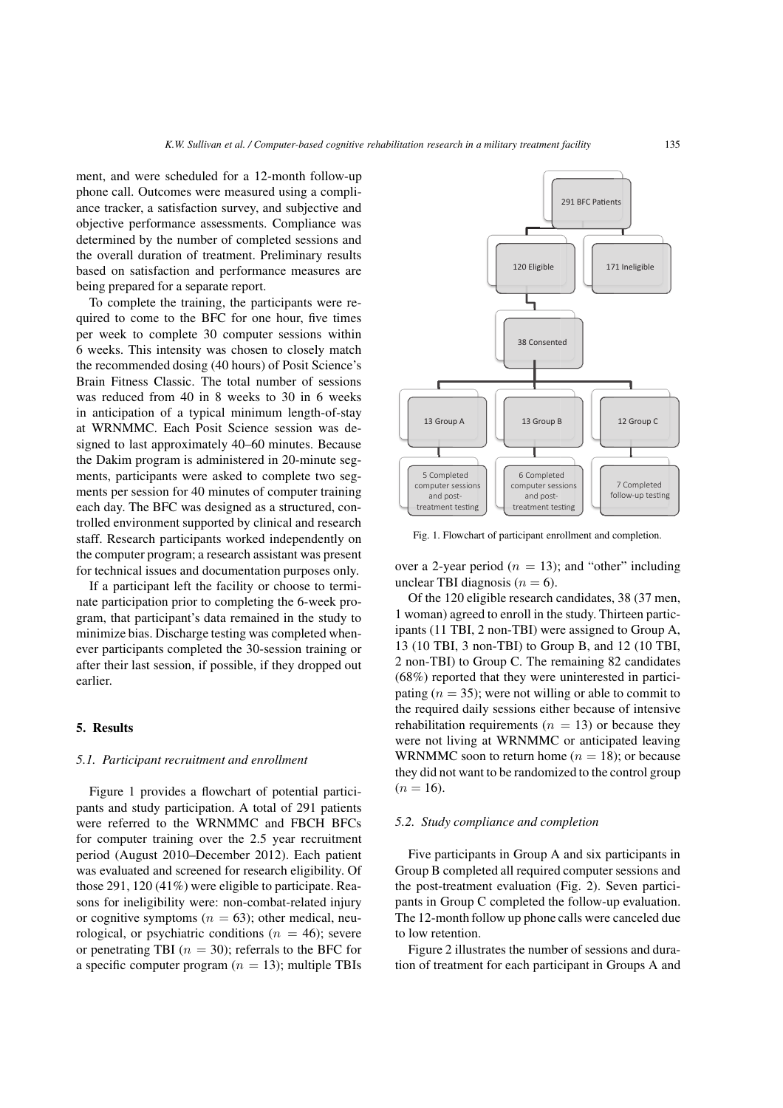ment, and were scheduled for a 12-month follow-up phone call. Outcomes were measured using a compliance tracker, a satisfaction survey, and subjective and objective performance assessments. Compliance was determined by the number of completed sessions and the overall duration of treatment. Preliminary results based on satisfaction and performance measures are being prepared for a separate report.

To complete the training, the participants were required to come to the BFC for one hour, five times per week to complete 30 computer sessions within 6 weeks. This intensity was chosen to closely match the recommended dosing (40 hours) of Posit Science's Brain Fitness Classic. The total number of sessions was reduced from 40 in 8 weeks to 30 in 6 weeks in anticipation of a typical minimum length-of-stay at WRNMMC. Each Posit Science session was designed to last approximately 40–60 minutes. Because the Dakim program is administered in 20-minute segments, participants were asked to complete two segments per session for 40 minutes of computer training each day. The BFC was designed as a structured, controlled environment supported by clinical and research staff. Research participants worked independently on the computer program; a research assistant was present for technical issues and documentation purposes only.

If a participant left the facility or choose to terminate participation prior to completing the 6-week program, that participant's data remained in the study to minimize bias. Discharge testing was completed whenever participants completed the 30-session training or after their last session, if possible, if they dropped out earlier.

# 5. Results

#### *5.1. Participant recruitment and enrollment*

Figure 1 provides a flowchart of potential participants and study participation. A total of 291 patients were referred to the WRNMMC and FBCH BFCs for computer training over the 2.5 year recruitment period (August 2010–December 2012). Each patient was evaluated and screened for research eligibility. Of those 291, 120 (41%) were eligible to participate. Reasons for ineligibility were: non-combat-related injury or cognitive symptoms ( $n = 63$ ); other medical, neurological, or psychiatric conditions ( $n = 46$ ); severe or penetrating TBI ( $n = 30$ ); referrals to the BFC for a specific computer program ( $n = 13$ ); multiple TBIs



Fig. 1. Flowchart of participant enrollment and completion.

over a 2-year period ( $n = 13$ ); and "other" including unclear TBI diagnosis ( $n = 6$ ).

Of the 120 eligible research candidates, 38 (37 men, 1 woman) agreed to enroll in the study. Thirteen participants (11 TBI, 2 non-TBI) were assigned to Group A, 13 (10 TBI, 3 non-TBI) to Group B, and 12 (10 TBI, 2 non-TBI) to Group C. The remaining 82 candidates (68%) reported that they were uninterested in participating  $(n = 35)$ ; were not willing or able to commit to the required daily sessions either because of intensive rehabilitation requirements ( $n = 13$ ) or because they were not living at WRNMMC or anticipated leaving WRNMMC soon to return home ( $n = 18$ ); or because they did not want to be randomized to the control group  $(n = 16)$ .

#### *5.2. Study compliance and completion*

Five participants in Group A and six participants in Group B completed all required computer sessions and the post-treatment evaluation (Fig. 2). Seven participants in Group C completed the follow-up evaluation. The 12-month follow up phone calls were canceled due to low retention.

Figure 2 illustrates the number of sessions and duration of treatment for each participant in Groups A and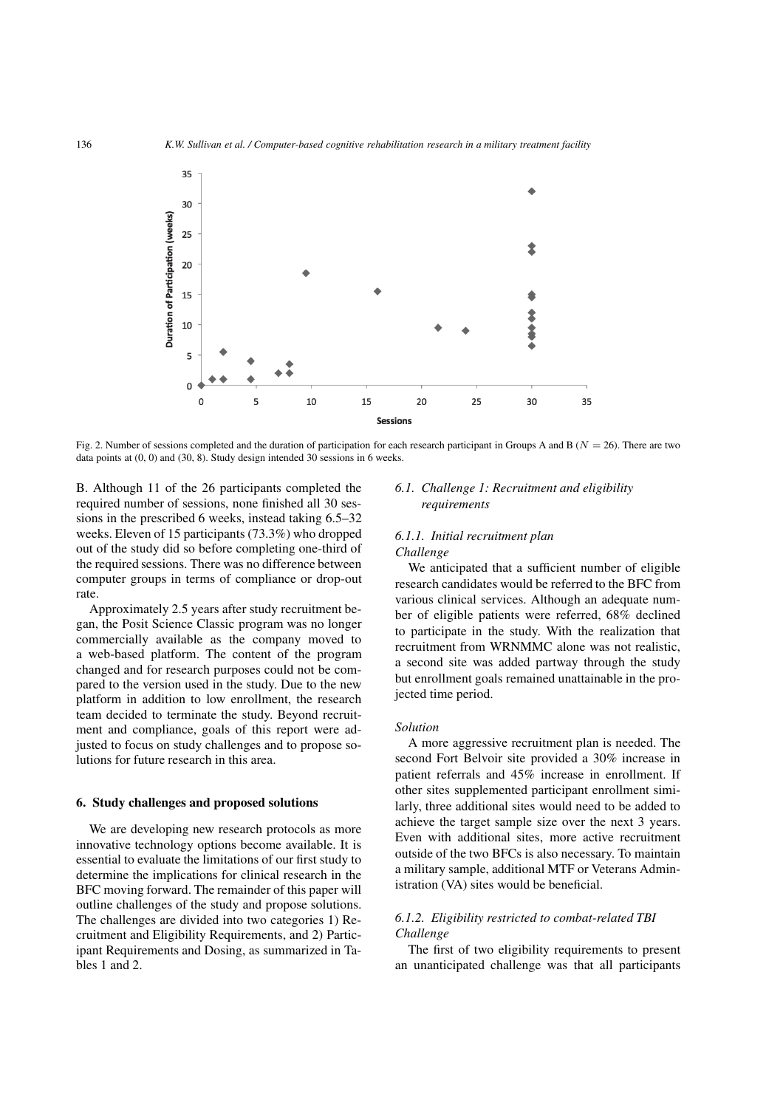

Fig. 2. Number of sessions completed and the duration of participation for each research participant in Groups A and B (*N* = 26). There are two data points at (0, 0) and (30, 8). Study design intended 30 sessions in 6 weeks.

B. Although 11 of the 26 participants completed the required number of sessions, none finished all 30 sessions in the prescribed 6 weeks, instead taking 6.5–32 weeks. Eleven of 15 participants (73.3%) who dropped out of the study did so before completing one-third of the required sessions. There was no difference between computer groups in terms of compliance or drop-out rate.

Approximately 2.5 years after study recruitment began, the Posit Science Classic program was no longer commercially available as the company moved to a web-based platform. The content of the program changed and for research purposes could not be compared to the version used in the study. Due to the new platform in addition to low enrollment, the research team decided to terminate the study. Beyond recruitment and compliance, goals of this report were adjusted to focus on study challenges and to propose solutions for future research in this area.

#### 6. Study challenges and proposed solutions

We are developing new research protocols as more innovative technology options become available. It is essential to evaluate the limitations of our first study to determine the implications for clinical research in the BFC moving forward. The remainder of this paper will outline challenges of the study and propose solutions. The challenges are divided into two categories 1) Recruitment and Eligibility Requirements, and 2) Participant Requirements and Dosing, as summarized in Tables 1 and 2.

#### *6.1. Challenge 1: Recruitment and eligibility requirements*

# *6.1.1. Initial recruitment plan Challenge*

We anticipated that a sufficient number of eligible research candidates would be referred to the BFC from various clinical services. Although an adequate number of eligible patients were referred, 68% declined to participate in the study. With the realization that recruitment from WRNMMC alone was not realistic, a second site was added partway through the study but enrollment goals remained unattainable in the projected time period.

#### *Solution*

A more aggressive recruitment plan is needed. The second Fort Belvoir site provided a 30% increase in patient referrals and 45% increase in enrollment. If other sites supplemented participant enrollment similarly, three additional sites would need to be added to achieve the target sample size over the next 3 years. Even with additional sites, more active recruitment outside of the two BFCs is also necessary. To maintain a military sample, additional MTF or Veterans Administration (VA) sites would be beneficial.

# *6.1.2. Eligibility restricted to combat-related TBI Challenge*

The first of two eligibility requirements to present an unanticipated challenge was that all participants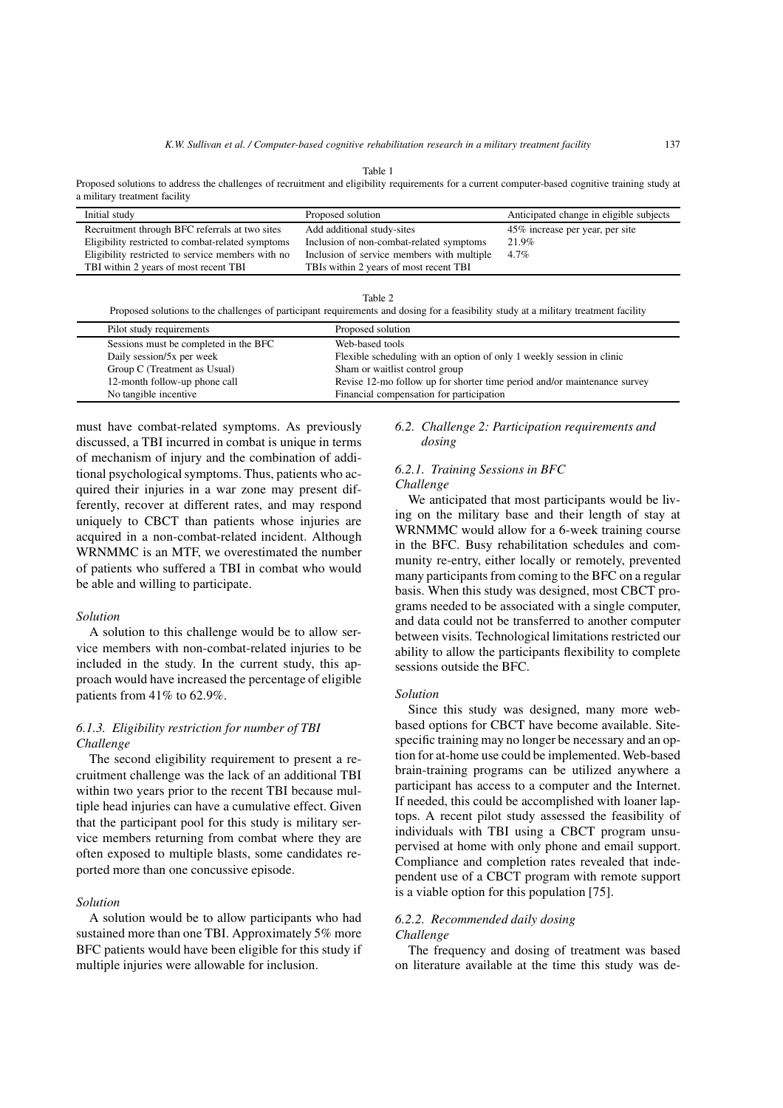Table 1

Proposed solutions to address the challenges of recruitment and eligibility requirements for a current computer-based cognitive training study at a military treatment facility

| Initial study                                     | Proposed solution                          | Anticipated change in eligible subjects |
|---------------------------------------------------|--------------------------------------------|-----------------------------------------|
| Recruitment through BFC referrals at two sites    | Add additional study-sites                 | 45% increase per year, per site         |
| Eligibility restricted to combat-related symptoms | Inclusion of non-combat-related symptoms   | 21.9%                                   |
| Eligibility restricted to service members with no | Inclusion of service members with multiple | $4.7\%$                                 |
| TBI within 2 years of most recent TBI             | TBIs within 2 years of most recent TBI     |                                         |

Proposed solutions to the challenges of participant requirements and dosing for a feasibility study at a military treatment facility

| Pilot study requirements              | Proposed solution                                                        |
|---------------------------------------|--------------------------------------------------------------------------|
| Sessions must be completed in the BFC | Web-based tools                                                          |
| Daily session/5x per week             | Flexible scheduling with an option of only 1 weekly session in clinic    |
| Group C (Treatment as Usual)          | Sham or waitlist control group                                           |
| 12-month follow-up phone call         | Revise 12-mo follow up for shorter time period and/or maintenance survey |
| No tangible incentive                 | Financial compensation for participation                                 |

must have combat-related symptoms. As previously discussed, a TBI incurred in combat is unique in terms of mechanism of injury and the combination of additional psychological symptoms. Thus, patients who acquired their injuries in a war zone may present differently, recover at different rates, and may respond uniquely to CBCT than patients whose injuries are acquired in a non-combat-related incident. Although WRNMMC is an MTF, we overestimated the number of patients who suffered a TBI in combat who would be able and willing to participate.

#### *Solution*

A solution to this challenge would be to allow service members with non-combat-related injuries to be included in the study. In the current study, this approach would have increased the percentage of eligible patients from 41% to 62.9%.

## *6.1.3. Eligibility restriction for number of TBI Challenge*

The second eligibility requirement to present a recruitment challenge was the lack of an additional TBI within two years prior to the recent TBI because multiple head injuries can have a cumulative effect. Given that the participant pool for this study is military service members returning from combat where they are often exposed to multiple blasts, some candidates reported more than one concussive episode.

## *Solution*

A solution would be to allow participants who had sustained more than one TBI. Approximately 5% more BFC patients would have been eligible for this study if multiple injuries were allowable for inclusion.

#### *6.2. Challenge 2: Participation requirements and dosing*

#### *6.2.1. Training Sessions in BFC Challenge*

We anticipated that most participants would be living on the military base and their length of stay at WRNMMC would allow for a 6-week training course in the BFC. Busy rehabilitation schedules and community re-entry, either locally or remotely, prevented many participants from coming to the BFC on a regular basis. When this study was designed, most CBCT programs needed to be associated with a single computer, and data could not be transferred to another computer between visits. Technological limitations restricted our ability to allow the participants flexibility to complete sessions outside the BFC.

#### *Solution*

Since this study was designed, many more webbased options for CBCT have become available. Sitespecific training may no longer be necessary and an option for at-home use could be implemented. Web-based brain-training programs can be utilized anywhere a participant has access to a computer and the Internet. If needed, this could be accomplished with loaner laptops. A recent pilot study assessed the feasibility of individuals with TBI using a CBCT program unsupervised at home with only phone and email support. Compliance and completion rates revealed that independent use of a CBCT program with remote support is a viable option for this population [75].

# *6.2.2. Recommended daily dosing*

# *Challenge*

The frequency and dosing of treatment was based on literature available at the time this study was de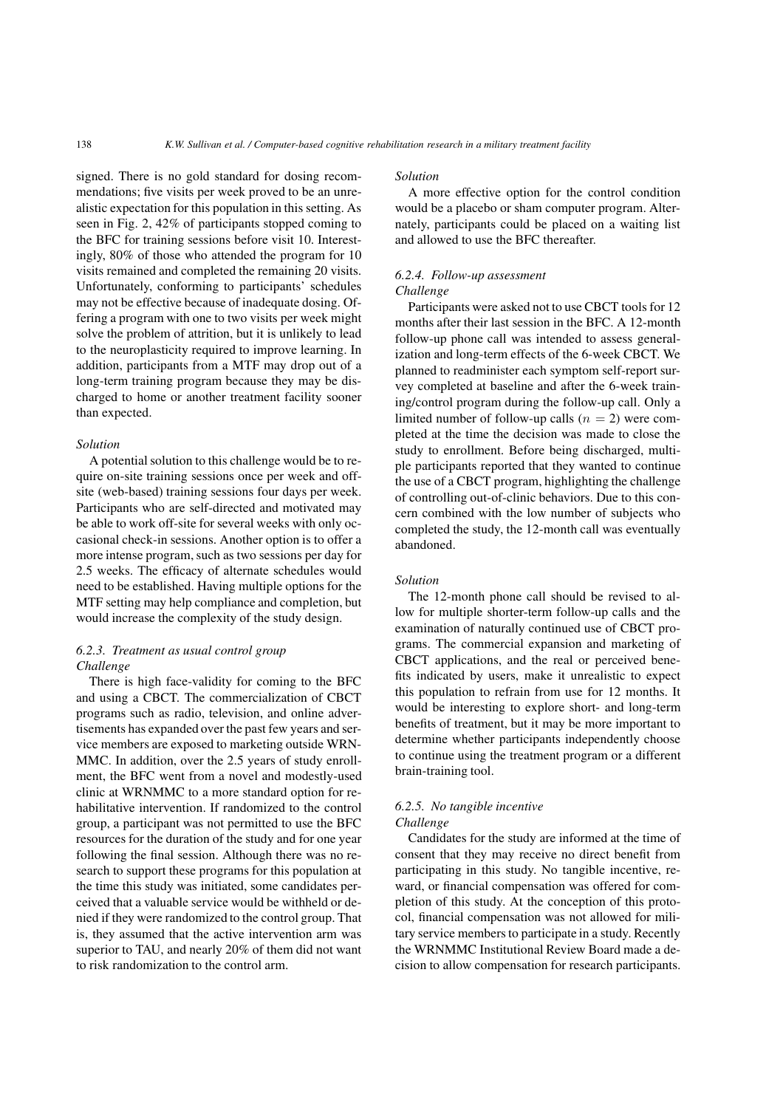signed. There is no gold standard for dosing recommendations; five visits per week proved to be an unrealistic expectation for this population in this setting. As seen in Fig. 2, 42% of participants stopped coming to the BFC for training sessions before visit 10. Interestingly, 80% of those who attended the program for 10 visits remained and completed the remaining 20 visits. Unfortunately, conforming to participants' schedules may not be effective because of inadequate dosing. Offering a program with one to two visits per week might solve the problem of attrition, but it is unlikely to lead to the neuroplasticity required to improve learning. In addition, participants from a MTF may drop out of a long-term training program because they may be discharged to home or another treatment facility sooner than expected.

#### *Solution*

A potential solution to this challenge would be to require on-site training sessions once per week and offsite (web-based) training sessions four days per week. Participants who are self-directed and motivated may be able to work off-site for several weeks with only occasional check-in sessions. Another option is to offer a more intense program, such as two sessions per day for 2.5 weeks. The efficacy of alternate schedules would need to be established. Having multiple options for the MTF setting may help compliance and completion, but would increase the complexity of the study design.

#### *6.2.3. Treatment as usual control group Challenge*

There is high face-validity for coming to the BFC and using a CBCT. The commercialization of CBCT programs such as radio, television, and online advertisements has expanded over the past few years and service members are exposed to marketing outside WRN-MMC. In addition, over the 2.5 years of study enrollment, the BFC went from a novel and modestly-used clinic at WRNMMC to a more standard option for rehabilitative intervention. If randomized to the control group, a participant was not permitted to use the BFC resources for the duration of the study and for one year following the final session. Although there was no research to support these programs for this population at the time this study was initiated, some candidates perceived that a valuable service would be withheld or denied if they were randomized to the control group. That is, they assumed that the active intervention arm was superior to TAU, and nearly 20% of them did not want to risk randomization to the control arm.

#### *Solution*

A more effective option for the control condition would be a placebo or sham computer program. Alternately, participants could be placed on a waiting list and allowed to use the BFC thereafter.

# *6.2.4. Follow-up assessment*

# *Challenge*

Participants were asked not to use CBCT tools for 12 months after their last session in the BFC. A 12-month follow-up phone call was intended to assess generalization and long-term effects of the 6-week CBCT. We planned to readminister each symptom self-report survey completed at baseline and after the 6-week training/control program during the follow-up call. Only a limited number of follow-up calls  $(n = 2)$  were completed at the time the decision was made to close the study to enrollment. Before being discharged, multiple participants reported that they wanted to continue the use of a CBCT program, highlighting the challenge of controlling out-of-clinic behaviors. Due to this concern combined with the low number of subjects who completed the study, the 12-month call was eventually abandoned.

#### *Solution*

The 12-month phone call should be revised to allow for multiple shorter-term follow-up calls and the examination of naturally continued use of CBCT programs. The commercial expansion and marketing of CBCT applications, and the real or perceived benefits indicated by users, make it unrealistic to expect this population to refrain from use for 12 months. It would be interesting to explore short- and long-term benefits of treatment, but it may be more important to determine whether participants independently choose to continue using the treatment program or a different brain-training tool.

#### *6.2.5. No tangible incentive Challenge*

Candidates for the study are informed at the time of consent that they may receive no direct benefit from participating in this study. No tangible incentive, reward, or financial compensation was offered for completion of this study. At the conception of this protocol, financial compensation was not allowed for military service members to participate in a study. Recently the WRNMMC Institutional Review Board made a decision to allow compensation for research participants.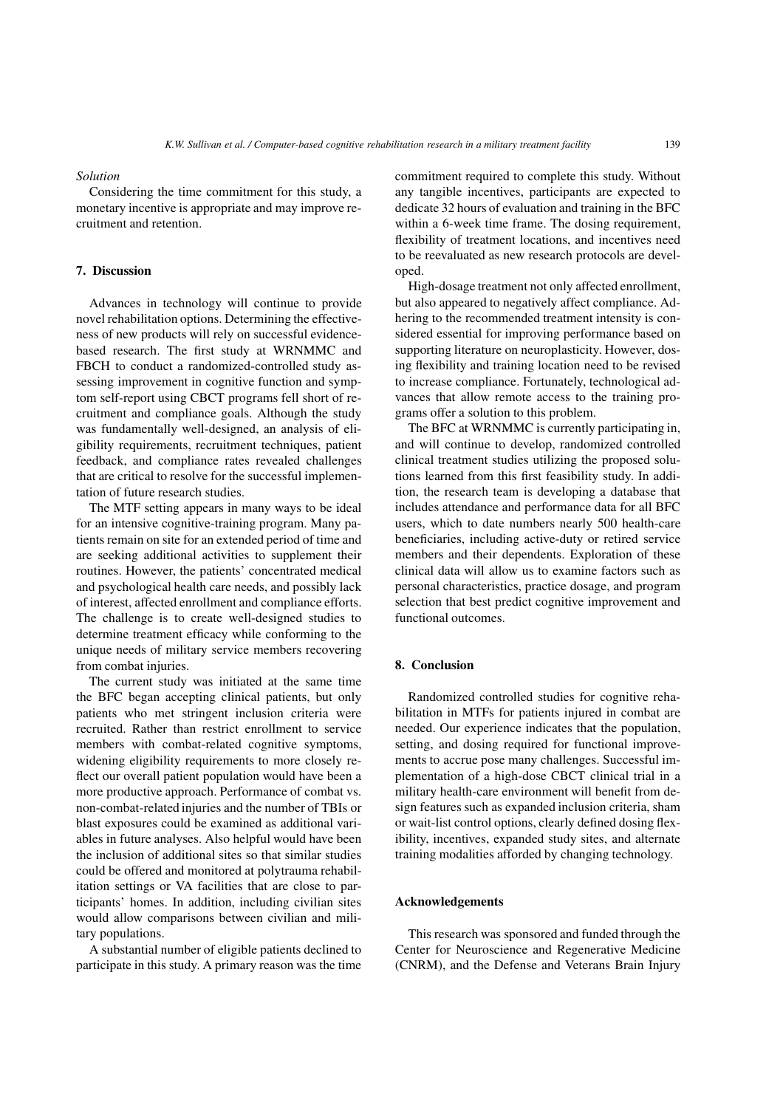#### *Solution*

Considering the time commitment for this study, a monetary incentive is appropriate and may improve recruitment and retention.

## 7. Discussion

Advances in technology will continue to provide novel rehabilitation options. Determining the effectiveness of new products will rely on successful evidencebased research. The first study at WRNMMC and FBCH to conduct a randomized-controlled study assessing improvement in cognitive function and symptom self-report using CBCT programs fell short of recruitment and compliance goals. Although the study was fundamentally well-designed, an analysis of eligibility requirements, recruitment techniques, patient feedback, and compliance rates revealed challenges that are critical to resolve for the successful implementation of future research studies.

The MTF setting appears in many ways to be ideal for an intensive cognitive-training program. Many patients remain on site for an extended period of time and are seeking additional activities to supplement their routines. However, the patients' concentrated medical and psychological health care needs, and possibly lack of interest, affected enrollment and compliance efforts. The challenge is to create well-designed studies to determine treatment efficacy while conforming to the unique needs of military service members recovering from combat injuries.

The current study was initiated at the same time the BFC began accepting clinical patients, but only patients who met stringent inclusion criteria were recruited. Rather than restrict enrollment to service members with combat-related cognitive symptoms, widening eligibility requirements to more closely reflect our overall patient population would have been a more productive approach. Performance of combat vs. non-combat-related injuries and the number of TBIs or blast exposures could be examined as additional variables in future analyses. Also helpful would have been the inclusion of additional sites so that similar studies could be offered and monitored at polytrauma rehabilitation settings or VA facilities that are close to participants' homes. In addition, including civilian sites would allow comparisons between civilian and military populations.

A substantial number of eligible patients declined to participate in this study. A primary reason was the time commitment required to complete this study. Without any tangible incentives, participants are expected to dedicate 32 hours of evaluation and training in the BFC within a 6-week time frame. The dosing requirement, flexibility of treatment locations, and incentives need to be reevaluated as new research protocols are developed.

High-dosage treatment not only affected enrollment, but also appeared to negatively affect compliance. Adhering to the recommended treatment intensity is considered essential for improving performance based on supporting literature on neuroplasticity. However, dosing flexibility and training location need to be revised to increase compliance. Fortunately, technological advances that allow remote access to the training programs offer a solution to this problem.

The BFC at WRNMMC is currently participating in, and will continue to develop, randomized controlled clinical treatment studies utilizing the proposed solutions learned from this first feasibility study. In addition, the research team is developing a database that includes attendance and performance data for all BFC users, which to date numbers nearly 500 health-care beneficiaries, including active-duty or retired service members and their dependents. Exploration of these clinical data will allow us to examine factors such as personal characteristics, practice dosage, and program selection that best predict cognitive improvement and functional outcomes.

#### 8. Conclusion

Randomized controlled studies for cognitive rehabilitation in MTFs for patients injured in combat are needed. Our experience indicates that the population, setting, and dosing required for functional improvements to accrue pose many challenges. Successful implementation of a high-dose CBCT clinical trial in a military health-care environment will benefit from design features such as expanded inclusion criteria, sham or wait-list control options, clearly defined dosing flexibility, incentives, expanded study sites, and alternate training modalities afforded by changing technology.

#### Acknowledgements

This research was sponsored and funded through the Center for Neuroscience and Regenerative Medicine (CNRM), and the Defense and Veterans Brain Injury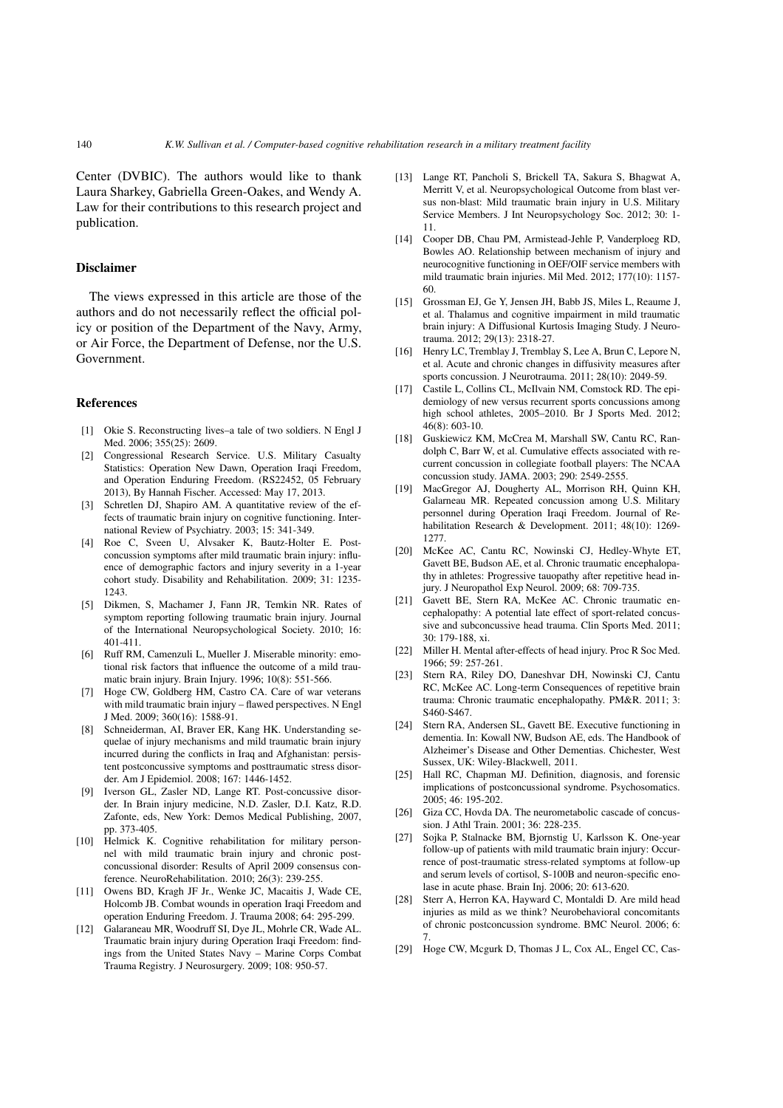Center (DVBIC). The authors would like to thank Laura Sharkey, Gabriella Green-Oakes, and Wendy A. Law for their contributions to this research project and publication.

#### Disclaimer

The views expressed in this article are those of the authors and do not necessarily reflect the official policy or position of the Department of the Navy, Army, or Air Force, the Department of Defense, nor the U.S. Government.

#### References

- [1] Okie S. Reconstructing lives–a tale of two soldiers. N Engl J Med. 2006; 355(25): 2609.
- [2] Congressional Research Service. U.S. Military Casualty Statistics: Operation New Dawn, Operation Iraqi Freedom, and Operation Enduring Freedom. (RS22452, 05 February 2013), By Hannah Fischer. Accessed: May 17, 2013.
- [3] Schretlen DJ, Shapiro AM. A quantitative review of the effects of traumatic brain injury on cognitive functioning. International Review of Psychiatry. 2003; 15: 341-349.
- [4] Roe C, Sveen U, Alvsaker K, Bautz-Holter E. Postconcussion symptoms after mild traumatic brain injury: influence of demographic factors and injury severity in a 1-year cohort study. Disability and Rehabilitation. 2009; 31: 1235- 1243.
- [5] Dikmen, S, Machamer J, Fann JR, Temkin NR. Rates of symptom reporting following traumatic brain injury. Journal of the International Neuropsychological Society. 2010; 16: 401-411.
- [6] Ruff RM, Camenzuli L, Mueller J. Miserable minority: emotional risk factors that influence the outcome of a mild traumatic brain injury. Brain Injury. 1996; 10(8): 551-566.
- [7] Hoge CW, Goldberg HM, Castro CA. Care of war veterans with mild traumatic brain injury – flawed perspectives. N Engl J Med. 2009; 360(16): 1588-91.
- [8] Schneiderman, AI, Braver ER, Kang HK. Understanding sequelae of injury mechanisms and mild traumatic brain injury incurred during the conflicts in Iraq and Afghanistan: persistent postconcussive symptoms and posttraumatic stress disorder. Am J Epidemiol. 2008; 167: 1446-1452.
- [9] Iverson GL, Zasler ND, Lange RT. Post-concussive disorder. In Brain injury medicine, N.D. Zasler, D.I. Katz, R.D. Zafonte, eds, New York: Demos Medical Publishing, 2007, pp. 373-405.
- [10] Helmick K. Cognitive rehabilitation for military personnel with mild traumatic brain injury and chronic postconcussional disorder: Results of April 2009 consensus conference. NeuroRehabilitation. 2010; 26(3): 239-255.
- [11] Owens BD, Kragh JF Jr., Wenke JC, Macaitis J, Wade CE, Holcomb JB. Combat wounds in operation Iraqi Freedom and operation Enduring Freedom. J. Trauma 2008; 64: 295-299.
- [12] Galaraneau MR, Woodruff SI, Dye JL, Mohrle CR, Wade AL. Traumatic brain injury during Operation Iraqi Freedom: findings from the United States Navy – Marine Corps Combat Trauma Registry. J Neurosurgery. 2009; 108: 950-57.
- [13] Lange RT, Pancholi S, Brickell TA, Sakura S, Bhagwat A, Merritt V, et al. Neuropsychological Outcome from blast versus non-blast: Mild traumatic brain injury in U.S. Military Service Members. J Int Neuropsychology Soc. 2012; 30: 1- 11.
- [14] Cooper DB, Chau PM, Armistead-Jehle P, Vanderploeg RD, Bowles AO. Relationship between mechanism of injury and neurocognitive functioning in OEF/OIF service members with mild traumatic brain injuries. Mil Med. 2012; 177(10): 1157- 60.
- [15] Grossman EJ, Ge Y, Jensen JH, Babb JS, Miles L, Reaume J, et al. Thalamus and cognitive impairment in mild traumatic brain injury: A Diffusional Kurtosis Imaging Study. J Neurotrauma. 2012; 29(13): 2318-27.
- [16] Henry LC, Tremblay J, Tremblay S, Lee A, Brun C, Lepore N, et al. Acute and chronic changes in diffusivity measures after sports concussion. J Neurotrauma. 2011; 28(10): 2049-59.
- [17] Castile L, Collins CL, McIlvain NM, Comstock RD. The epidemiology of new versus recurrent sports concussions among high school athletes, 2005–2010. Br J Sports Med. 2012; 46(8): 603-10.
- [18] Guskiewicz KM, McCrea M, Marshall SW, Cantu RC, Randolph C, Barr W, et al. Cumulative effects associated with recurrent concussion in collegiate football players: The NCAA concussion study. JAMA. 2003; 290: 2549-2555.
- [19] MacGregor AJ, Dougherty AL, Morrison RH, Quinn KH, Galarneau MR. Repeated concussion among U.S. Military personnel during Operation Iraqi Freedom. Journal of Rehabilitation Research & Development. 2011; 48(10): 1269-1277.
- [20] McKee AC, Cantu RC, Nowinski CJ, Hedley-Whyte ET, Gavett BE, Budson AE, et al. Chronic traumatic encephalopathy in athletes: Progressive tauopathy after repetitive head injury. J Neuropathol Exp Neurol. 2009; 68: 709-735.
- [21] Gavett BE, Stern RA, McKee AC. Chronic traumatic encephalopathy: A potential late effect of sport-related concussive and subconcussive head trauma. Clin Sports Med. 2011; 30: 179-188, xi.
- [22] Miller H. Mental after-effects of head injury. Proc R Soc Med. 1966; 59: 257-261.
- [23] Stern RA, Riley DO, Daneshvar DH, Nowinski CJ, Cantu RC, McKee AC. Long-term Consequences of repetitive brain trauma: Chronic traumatic encephalopathy. PM&R. 2011; 3: S460-S467.
- [24] Stern RA, Andersen SL, Gavett BE. Executive functioning in dementia. In: Kowall NW, Budson AE, eds. The Handbook of Alzheimer's Disease and Other Dementias. Chichester, West Sussex, UK: Wiley-Blackwell, 2011.
- [25] Hall RC, Chapman MJ. Definition, diagnosis, and forensic implications of postconcussional syndrome. Psychosomatics. 2005; 46: 195-202.
- [26] Giza CC, Hovda DA. The neurometabolic cascade of concussion. J Athl Train. 2001; 36: 228-235.
- [27] Sojka P, Stalnacke BM, Bjornstig U, Karlsson K. One-year follow-up of patients with mild traumatic brain injury: Occurrence of post-traumatic stress-related symptoms at follow-up and serum levels of cortisol, S-100B and neuron-specific enolase in acute phase. Brain Inj. 2006; 20: 613-620.
- [28] Sterr A, Herron KA, Hayward C, Montaldi D. Are mild head injuries as mild as we think? Neurobehavioral concomitants of chronic postconcussion syndrome. BMC Neurol. 2006; 6: 7.
- [29] Hoge CW, Mcgurk D, Thomas J L, Cox AL, Engel CC, Cas-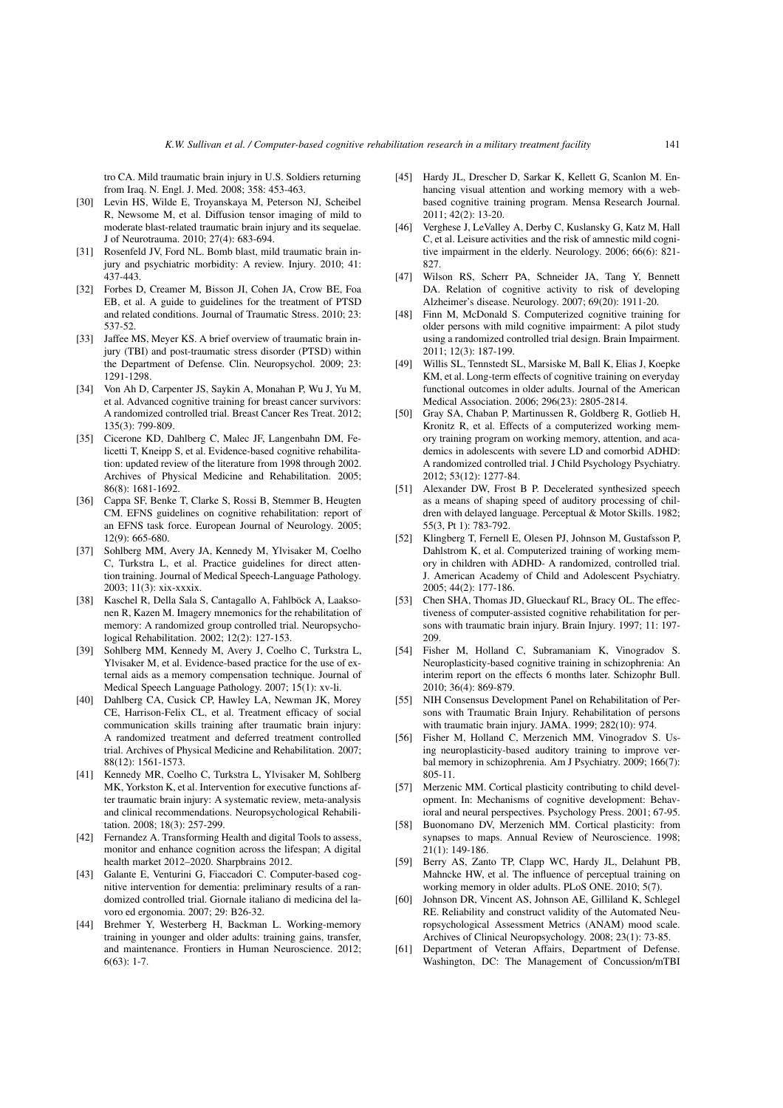tro CA. Mild traumatic brain injury in U.S. Soldiers returning from Iraq. N. Engl. J. Med. 2008; 358: 453-463.

- [30] Levin HS, Wilde E, Troyanskaya M, Peterson NJ, Scheibel R, Newsome M, et al. Diffusion tensor imaging of mild to moderate blast-related traumatic brain injury and its sequelae. J of Neurotrauma. 2010; 27(4): 683-694.
- [31] Rosenfeld JV, Ford NL. Bomb blast, mild traumatic brain injury and psychiatric morbidity: A review. Injury. 2010; 41: 437-443.
- [32] Forbes D, Creamer M, Bisson JI, Cohen JA, Crow BE, Foa EB, et al. A guide to guidelines for the treatment of PTSD and related conditions. Journal of Traumatic Stress. 2010; 23: 537-52.
- [33] Jaffee MS, Meyer KS. A brief overview of traumatic brain injury (TBI) and post-traumatic stress disorder (PTSD) within the Department of Defense. Clin. Neuropsychol. 2009; 23: 1291-1298.
- [34] Von Ah D, Carpenter JS, Saykin A, Monahan P, Wu J, Yu M, et al. Advanced cognitive training for breast cancer survivors: A randomized controlled trial. Breast Cancer Res Treat. 2012; 135(3): 799-809.
- [35] Cicerone KD, Dahlberg C, Malec JF, Langenbahn DM, Felicetti T, Kneipp S, et al. Evidence-based cognitive rehabilitation: updated review of the literature from 1998 through 2002. Archives of Physical Medicine and Rehabilitation. 2005; 86(8): 1681-1692.
- [36] Cappa SF, Benke T, Clarke S, Rossi B, Stemmer B, Heugten CM. EFNS guidelines on cognitive rehabilitation: report of an EFNS task force. European Journal of Neurology. 2005; 12(9): 665-680.
- [37] Sohlberg MM, Avery JA, Kennedy M, Ylvisaker M, Coelho C, Turkstra L, et al. Practice guidelines for direct attention training. Journal of Medical Speech-Language Pathology. 2003; 11(3): xix-xxxix.
- [38] Kaschel R, Della Sala S, Cantagallo A, Fahlböck A, Laaksonen R, Kazen M. Imagery mnemonics for the rehabilitation of memory: A randomized group controlled trial. Neuropsychological Rehabilitation. 2002; 12(2): 127-153.
- [39] Sohlberg MM, Kennedy M, Avery J, Coelho C, Turkstra L, Ylvisaker M, et al. Evidence-based practice for the use of external aids as a memory compensation technique. Journal of Medical Speech Language Pathology. 2007; 15(1): xv-li.
- [40] Dahlberg CA, Cusick CP, Hawley LA, Newman JK, Morey CE, Harrison-Felix CL, et al. Treatment efficacy of social communication skills training after traumatic brain injury: A randomized treatment and deferred treatment controlled trial. Archives of Physical Medicine and Rehabilitation. 2007; 88(12): 1561-1573.
- [41] Kennedy MR, Coelho C, Turkstra L, Ylvisaker M, Sohlberg MK, Yorkston K, et al. Intervention for executive functions after traumatic brain injury: A systematic review, meta-analysis and clinical recommendations. Neuropsychological Rehabilitation. 2008; 18(3): 257-299.
- [42] Fernandez A. Transforming Health and digital Tools to assess, monitor and enhance cognition across the lifespan; A digital health market 2012–2020. Sharpbrains 2012.
- [43] Galante E, Venturini G, Fiaccadori C. Computer-based cognitive intervention for dementia: preliminary results of a randomized controlled trial. Giornale italiano di medicina del lavoro ed ergonomia. 2007; 29: B26-32.
- [44] Brehmer Y, Westerberg H, Backman L. Working-memory training in younger and older adults: training gains, transfer, and maintenance. Frontiers in Human Neuroscience. 2012;  $6(63)$ : 1-7.
- [45] Hardy JL, Drescher D, Sarkar K, Kellett G, Scanlon M. Enhancing visual attention and working memory with a webbased cognitive training program. Mensa Research Journal. 2011; 42(2): 13-20.
- [46] Verghese J, LeValley A, Derby C, Kuslansky G, Katz M, Hall C, et al. Leisure activities and the risk of amnestic mild cognitive impairment in the elderly. Neurology. 2006; 66(6): 821- 827
- [47] Wilson RS, Scherr PA, Schneider JA, Tang Y, Bennett DA. Relation of cognitive activity to risk of developing Alzheimer's disease. Neurology. 2007; 69(20): 1911-20.
- [48] Finn M, McDonald S. Computerized cognitive training for older persons with mild cognitive impairment: A pilot study using a randomized controlled trial design. Brain Impairment. 2011; 12(3): 187-199.
- [49] Willis SL, Tennstedt SL, Marsiske M, Ball K, Elias J, Koepke KM, et al. Long-term effects of cognitive training on everyday functional outcomes in older adults. Journal of the American Medical Association. 2006; 296(23): 2805-2814.
- [50] Gray SA, Chaban P, Martinussen R, Goldberg R, Gotlieb H, Kronitz R, et al. Effects of a computerized working memory training program on working memory, attention, and academics in adolescents with severe LD and comorbid ADHD: A randomized controlled trial. J Child Psychology Psychiatry. 2012; 53(12): 1277-84.
- [51] Alexander DW, Frost B P. Decelerated synthesized speech as a means of shaping speed of auditory processing of children with delayed language. Perceptual & Motor Skills. 1982; 55(3, Pt 1): 783-792.
- [52] Klingberg T, Fernell E, Olesen PJ, Johnson M, Gustafsson P, Dahlstrom K, et al. Computerized training of working memory in children with ADHD- A randomized, controlled trial. J. American Academy of Child and Adolescent Psychiatry. 2005; 44(2): 177-186.
- [53] Chen SHA, Thomas JD, Glueckauf RL, Bracy OL. The effectiveness of computer-assisted cognitive rehabilitation for persons with traumatic brain injury. Brain Injury. 1997; 11: 197- 209.
- [54] Fisher M, Holland C, Subramaniam K, Vinogradov S. Neuroplasticity-based cognitive training in schizophrenia: An interim report on the effects 6 months later. Schizophr Bull. 2010; 36(4): 869-879.
- [55] NIH Consensus Development Panel on Rehabilitation of Persons with Traumatic Brain Injury. Rehabilitation of persons with traumatic brain injury. JAMA. 1999; 282(10): 974.
- [56] Fisher M, Holland C, Merzenich MM, Vinogradov S. Using neuroplasticity-based auditory training to improve verbal memory in schizophrenia. Am J Psychiatry. 2009; 166(7): 805-11.
- [57] Merzenic MM. Cortical plasticity contributing to child development. In: Mechanisms of cognitive development: Behavioral and neural perspectives. Psychology Press. 2001; 67-95.
- [58] Buonomano DV, Merzenich MM. Cortical plasticity: from synapses to maps. Annual Review of Neuroscience. 1998; 21(1): 149-186.
- [59] Berry AS, Zanto TP, Clapp WC, Hardy JL, Delahunt PB, Mahncke HW, et al. The influence of perceptual training on working memory in older adults. PLoS ONE. 2010; 5(7).
- [60] Johnson DR, Vincent AS, Johnson AE, Gilliland K, Schlegel RE. Reliability and construct validity of the Automated Neuropsychological Assessment Metrics (ANAM) mood scale. Archives of Clinical Neuropsychology. 2008; 23(1): 73-85.
- [61] Department of Veteran Affairs, Department of Defense. Washington, DC: The Management of Concussion/mTBI